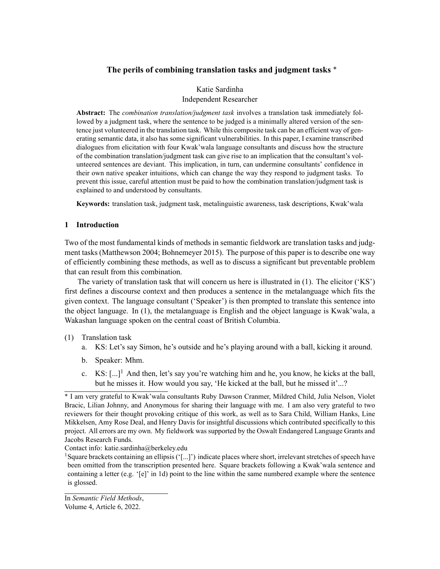# **The perils of combining translation tasks and judgment tasks** \*

Katie Sardinha Independent Researcher

**Abstract:** The *combination translation/judgment task* involves a translation task immediately followed by a judgment task, where the sentence to be judged is a minimally altered version of the sentence just volunteered in the translation task. While this composite task can be an efficient way of generating semantic data, it also has some significant vulnerabilities. In this paper, I examine transcribed dialogues from elicitation with four Kwak'wala language consultants and discuss how the structure of the combination translation/judgment task can give rise to an implication that the consultant's volunteered sentences are deviant. This implication, in turn, can undermine consultants' confidence in their own native speaker intuitions, which can change the way they respond to judgment tasks. To prevent this issue, careful attention must be paid to how the combination translation/judgment task is explained to and understood by consultants.

**Keywords:** translation task, judgment task, metalinguistic awareness, task descriptions, Kwak'wala

# **1 Introduction**

Two of the most fundamental kinds of methods in semantic fieldwork are translation tasks and judgment tasks (Matthewson 2004; Bohnemeyer 2015). The purpose of this paper is to describe one way of efficiently combining these methods, as well as to discuss a significant but preventable problem that can result from this combination.

The variety of translation task that will concern us here is illustrated in (1). The elicitor ('KS') first defines a discourse context and then produces a sentence in the metalanguage which fits the given context. The language consultant ('Speaker') is then prompted to translate this sentence into the object language. In (1), the metalanguage is English and the object language is Kwak'wala, a Wakashan language spoken on the central coast of British Columbia.

## (1) Translation task

- a. KS: Let's say Simon, he's outside and he's playing around with a ball, kicking it around.
- b. Speaker: Mhm.
- c. KS:  $[\ldots]^1$  And then, let's say you're watching him and he, you know, he kicks at the ball, but he misses it. How would you say, 'He kicked at the ball, but he missed it'...?

Contact info: katie.sardinha@berkeley.edu

<sup>1</sup>Square brackets containing an ellipsis ('[...]') indicate places where short, irrelevant stretches of speech have been omitted from the transcription presented here. Square brackets following a Kwak'wala sentence and containing a letter (e.g. '[e]' in 1d) point to the line within the same numbered example where the sentence is glossed.

<sup>\*</sup> I am very grateful to Kwak'wala consultants Ruby Dawson Cranmer, Mildred Child, Julia Nelson, Violet Bracic, Lilian Johnny, and Anonymous for sharing their language with me. I am also very grateful to two reviewers for their thought provoking critique of this work, as well as to Sara Child, William Hanks, Line Mikkelsen, Amy Rose Deal, and Henry Davis for insightful discussions which contributed specifically to this project. All errors are my own. My fieldwork was supported by the Oswalt Endangered Language Grants and Jacobs Research Funds.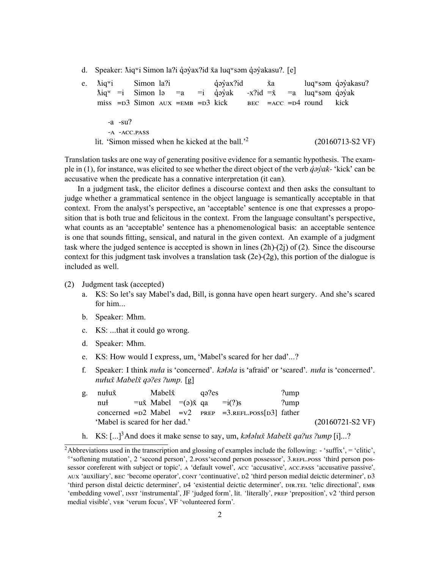d. Speaker:  $\text{Mq}^{\text{w}}$ i Simon la?i qʻay`ax?id x'a luq wsəm qʻay`akasu?. [e]

|              |                                                              |  |  |  |  |  | $\text{Mig}^w$ = i Simon lə = a = i qoyak -x?id = x = a luq səm qoyak     |  |  |  |  |                               |
|--------------|--------------------------------------------------------------|--|--|--|--|--|---------------------------------------------------------------------------|--|--|--|--|-------------------------------|
|              |                                                              |  |  |  |  |  | miss $=$ $D3$ Simon $AUX = EMB = D3$ kick BEC $=$ ACC $=$ $D4$ round kick |  |  |  |  |                               |
|              |                                                              |  |  |  |  |  |                                                                           |  |  |  |  |                               |
|              | -a -su?                                                      |  |  |  |  |  |                                                                           |  |  |  |  |                               |
| -A -ACC.PASS |                                                              |  |  |  |  |  |                                                                           |  |  |  |  |                               |
|              | lit. 'Simon missed when he kicked at the ball.' <sup>2</sup> |  |  |  |  |  |                                                                           |  |  |  |  | $(20160713-S2 \,\mathrm{VF})$ |

Translation tasks are one way of generating positive evidence for a semantic hypothesis. The example in (1), for instance, was elicited to see whether the direct object of the verb *q̓əy̓ak-* 'kick' can be accusative when the predicate has a connative interpretation (it can).

In a judgment task, the elicitor defines a discourse context and then asks the consultant to judge whether a grammatical sentence in the object language is semantically acceptable in that context. From the analyst's perspective, an 'acceptable' sentence is one that expresses a proposition that is both true and felicitous in the context. From the language consultant's perspective, what counts as an 'acceptable' sentence has a phenomenological basis: an acceptable sentence is one that sounds fitting, sensical, and natural in the given context. An example of a judgment task where the judged sentence is accepted is shown in lines  $(2h)-(2i)$  of  $(2)$ . Since the discourse context for this judgment task involves a translation task (2e)-(2g), this portion of the dialogue is included as well.

- (2) Judgment task (accepted)
	- a. KS: So let's say Mabel's dad, Bill, is gonna have open heart surgery. And she's scared for him...
	- b. Speaker: Mhm.
	- c. KS: ...that it could go wrong.
	- d. Speaker: Mhm.
	- e. KS: How would I express, um, 'Mabel's scared for her dad'...?
	- f. Speaker: I think *nuɬa* is 'concerned'. *kəɬəla* is 'afraid' or 'scared'. *nuɬa* is 'concerned'. *nuɬux̌ Mabelx̌ qəʔes ʔump*. [g]

| g. nu <sup>l</sup> ux | Mabelž                             | aə?es |                                                                | ?ump  |                            |
|-----------------------|------------------------------------|-------|----------------------------------------------------------------|-------|----------------------------|
| nut                   | $=$ ux Mabel $=$ (a)x qa $=$ i(?)s |       |                                                                | '/ump |                            |
|                       |                                    |       | concerned $= D2$ Mabel $= v2$ PREP $= 3$ .REFL.POSS[D3] father |       |                            |
|                       | 'Mabel is scared for her dad.'     |       |                                                                |       | $(20160721-S2 \text{ VF})$ |

h. KS: [...]3And does it make sense to say, um, *kəɬəlux̌ Mabelx̌ qaʔus ʔump* [i]...?

<sup>&</sup>lt;sup>2</sup>Abbreviations used in the transcription and glossing of examples include the following: - 'suffix', = 'clitic', <sup>o</sup>'softening mutation', 2 'second person', 2. Poss' second person possessor', 3. REFL. Poss 'third person possessor coreferent with subject or topic', A 'default vowel', Acc 'accusative', Acc.PASS 'accusative passive', AUX 'auxiliary', BEC 'become operator', CONT 'continuative', D2 'third person medial deictic determiner', D3 'third person distal deictic determiner', D4 'existential deictic determiner', DIR.TEL 'telic directional', EMB 'embedding vowel', INST 'instrumental', JF 'judged form', lit. 'literally', PREP 'preposition', v2 'third person medial visible', VER 'verum focus', VF 'volunteered form'.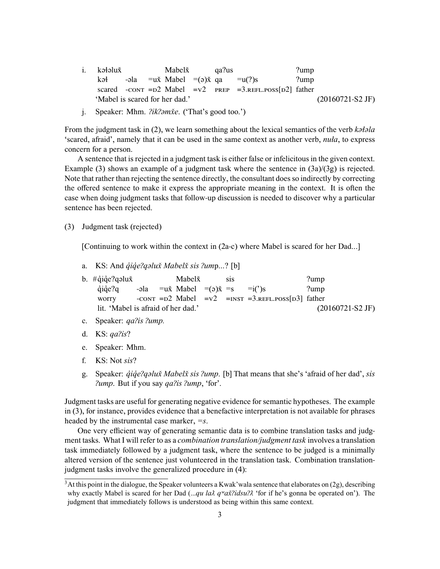- i. kəɬəlux̌ kəɬ scared - $\text{conv} = \text{D2}$  Mabel = v2 -əla =ux̌ Mabel =(ə)x̌ qa Mabelx̌ qaʔus PREP =3.REFL.POSS[D2] father  $=u(?)s$ ʔump ʔump 'Mabel is scared for her dad.' (20160721-S2 JF)
- j. Speaker: Mhm. *ʔikʔəmx̌e*. ('That's good too.')

From the judgment task in (2), we learn something about the lexical semantics of the verb *kəɬəla* 'scared, afraid', namely that it can be used in the same context as another verb, *nuła*, to express concern for a person.

A sentence that is rejected in a judgment task is either false or infelicitous in the given context. Example (3) shows an example of a judgment task where the sentence in (3a)/(3g) is rejected. Note that rather than rejecting the sentence directly, the consultant does so indirectly by correcting the offered sentence to make it express the appropriate meaning in the context. It is often the case when doing judgment tasks that follow-up discussion is needed to discover why a particular sentence has been rejected.

(3) Judgment task (rejected)

[Continuing to work within the context in (2a-c) where Mabel is scared for her Dad...]

- a. KS: And *q̓iq̓eʔqəlux̌ Mabelx̌ sis ʔum*p...? [b]
- b. #qiqe?qəlux q̓iq̓eʔq worry -əla -CONT = $D2$  Mabel = $V2$  =INST =3.REFL.POSS[D3] father  $=$ u $\times$  Mabel  $=$ ( $\infty$ ) $\times$   $=$ s Mabelx̌ sis  $=i(')$ s ʔump ʔump lit. 'Mabel is afraid of her dad.' (20160721-S2 JF)
- c. Speaker: *qaʔis ʔump.*
- d. KS: *qaʔis*?
- e. Speaker: Mhm.
- f. KS: Not *sis*?
- g. Speaker: *q̓iq̓eʔqəlux̌ Mabelx̌ sis ʔump*. [b] That means that she's 'afraid of her dad', *sis ʔump*. But if you say *qaʔis ʔump*, 'for'.

Judgment tasks are useful for generating negative evidence for semantic hypotheses. The example in (3), for instance, provides evidence that a benefactive interpretation is not available for phrases headed by the instrumental case marker, *=s*.

One very efficient way of generating semantic data is to combine translation tasks and judgment tasks. What I will refer to as a *combination translation/judgment task* involves a translation task immediately followed by a judgment task, where the sentence to be judged is a minimally altered version of the sentence just volunteered in the translation task. Combination translationjudgment tasks involve the generalized procedure in (4):

<sup>&</sup>lt;sup>3</sup>At this point in the dialogue, the Speaker volunteers a Kwak'wala sentence that elaborates on (2g), describing why exactly Mabel is scared for her Dad (...*qu la* $\lambda$  *q<sup>w</sup>ax̃?idsu?* $\lambda$  'for if he's gonna be operated on'). The judgment that immediately follows is understood as being within this same context.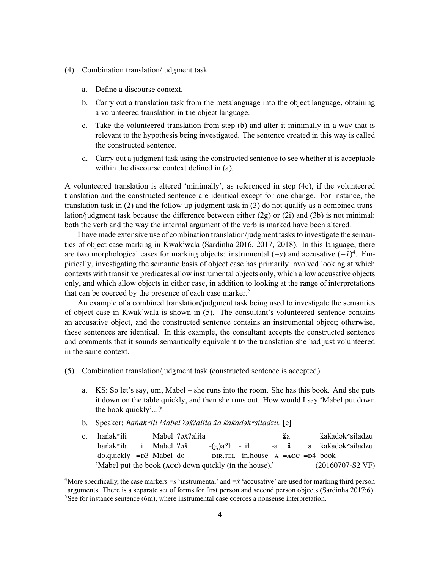- (4) Combination translation/judgment task
	- a. Define a discourse context.
	- b. Carry out a translation task from the metalanguage into the object language, obtaining a volunteered translation in the object language.
	- c. Take the volunteered translation from step (b) and alter it minimally in a way that is relevant to the hypothesis being investigated. The sentence created in this way is called the constructed sentence.
	- d. Carry out a judgment task using the constructed sentence to see whether it is acceptable within the discourse context defined in (a).

A volunteered translation is altered 'minimally', as referenced in step (4c), if the volunteered translation and the constructed sentence are identical except for one change. For instance, the translation task in (2) and the follow-up judgment task in (3) do not qualify as a combined translation/judgment task because the difference between either (2g) or (2i) and (3b) is not minimal: both the verb and the way the internal argument of the verb is marked have been altered.

I have made extensive use of combination translation/judgment tasks to investigate the semantics of object case marking in Kwak'wala (Sardinha 2016, 2017, 2018). In this language, there are two morphological cases for marking objects: instrumental (*=s*) and accusative (*=x̌*) 4 . Empirically, investigating the semantic basis of object case has primarily involved looking at which contexts with transitive predicates allow instrumental objects only, which allow accusative objects only, and which allow objects in either case, in addition to looking at the range of interpretations that can be coerced by the presence of each case marker.<sup>5</sup>

An example of a combined translation/judgment task being used to investigate the semantics of object case in Kwak'wala is shown in (5). The consultant's volunteered sentence contains an accusative object, and the constructed sentence contains an instrumental object; otherwise, these sentences are identical. In this example, the consultant accepts the constructed sentence and comments that it sounds semantically equivalent to the translation she had just volunteered in the same context.

- (5) Combination translation/judgment task (constructed sentence is accepted)
	- a. KS: So let's say, um, Mabel she runs into the room. She has this book. And she puts it down on the table quickly, and then she runs out. How would I say 'Mabel put down the book quickly'...?
	- b. Speaker: *han̓akʷili Mabel ʔəx̌ʔaliɬa x̌a k̓ak̓adəkʷsiladzu.* [c]
	- c. hanakwili haṅakʷila =i Mabel ?əxॅ do.quickly =D3 Mabel do Mabel ʔəx̌ʔaliɬa -(g)aʔɬ - *◦* iɬ -DIR.TEL -in.house -A =**ACC** =D4 book -a **=x̌ x̌**a =a k̓ak̓adəkʷsiladzu k̓ak̓adəkʷsiladzu 'Mabel put the book (**ACC**) down quickly (in the house).' (20160707-S2 VF)

<sup>&</sup>lt;sup>4</sup>More specifically, the case markers  $=$  s 'instrumental' and  $=\dot{x}$  'accusative' are used for marking third person arguments. There is a separate set of forms for first person and second person objects (Sardinha 2017:6).  $5$ See for instance sentence (6m), where instrumental case coerces a nonsense interpretation.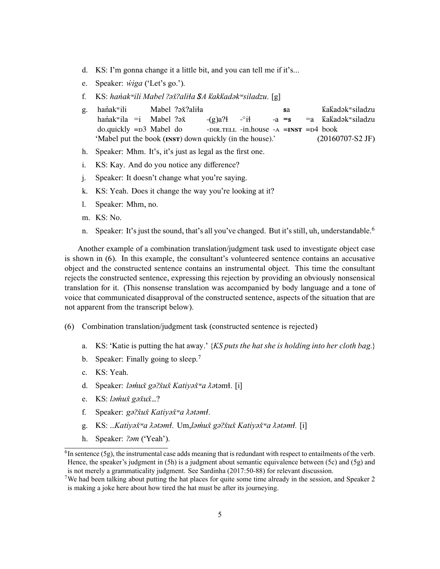- d. KS: I'm gonna change it a little bit, and you can tell me if it's...
- e. Speaker: *w̓iga* ('Let's go.').
- f. KS: *han̓akʷili Mabel ʔəx̌ʔaliɬa SA k̓akk̓adəkʷsiladzu*. [g]
- g. hanak<sup>w</sup>ili haṅakʷila =i do.quickly =D3 Mabel do Mabel ?ə**x**?aliła Mabel ?ə<del>x</del>ॅ  $-(g)a$ <sup>1</sup> -DIR.TELL -in.house -A =**INST** =D4 book - *◦* iɬ  $-a = s$ **s**a  $=$ a k̓ak̓adəkʷsiladzu k̓ak̓adəkʷsiladzu 'Mabel put the book (**INST**) down quickly (in the house).' (20160707-S2 JF)
- h. Speaker: Mhm. It's, it's just as legal as the first one.
- i. KS: Kay. And do you notice any difference?
- j. Speaker: It doesn't change what you're saying.
- k. KS: Yeah. Does it change the way you're looking at it?
- l. Speaker: Mhm, no.
- m. KS: No.
- n. Speaker: It's just the sound, that's all you've changed. But it's still, uh, understandable.<sup>6</sup>

Another example of a combination translation/judgment task used to investigate object case is shown in (6). In this example, the consultant's volunteered sentence contains an accusative object and the constructed sentence contains an instrumental object. This time the consultant rejects the constructed sentence, expressing this rejection by providing an obviously nonsensical translation for it. (This nonsense translation was accompanied by body language and a tone of voice that communicated disapproval of the constructed sentence, aspects of the situation that are not apparent from the transcript below).

- (6) Combination translation/judgment task (constructed sentence is rejected)
	- a. KS: 'Katie is putting the hat away.' {*KS puts the hat she is holding into her cloth bag.*}
	- b. Speaker: Finally going to sleep.<sup>7</sup>
	- c. KS: Yeah.
	- d. Speaker: *ləm̓ux̌ gəʔx̌ux̌ Katiyəx̌ʷa ƛə*təmɬ. [i]
	- e. KS: *ləm̓ux̌ gəx̌ux̌*…?
	- f. Speaker: *gə?xuxॅ Katiyəx̌<sup>w</sup>a*  $\lambda$ *ətəmł.*
	- g. KS: *…Katiyəx̌ʷa ƛətəmɬ*. Um,*ləm̓ux̌ gəʔx̌ux̌ Katiyəx̌ʷa ƛətəmɬ.* [i]
	- h. Speaker: *ʔəm* ('Yeah').

 ${}^{6}$ In sentence (5g), the instrumental case adds meaning that is redundant with respect to entailments of the verb. Hence, the speaker's judgment in (5h) is a judgment about semantic equivalence between (5c) and (5g) and is not merely a grammaticality judgment. See Sardinha (2017:50-88) for relevant discussion.

<sup>&</sup>lt;sup>7</sup>We had been talking about putting the hat places for quite some time already in the session, and Speaker 2 is making a joke here about how tired the hat must be after its journeying.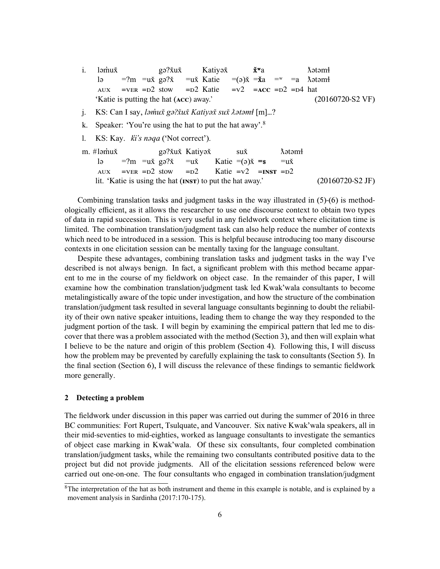- i. ləm̓ux̌ lə AUX =ʔm =ux̌ gəʔx̌  $=$ vER  $=$   $D2$  stow gəʔx̌ux̌ =ux̌ Katie =D2 Katie Katiyəx̌ =(ə)x̌ =**x̌**a  $= v2$   $= ACC$   $= D2$   $= D4$  hat **x̌ʷ**a  $=$ w  $=$ a ƛətəmɬ ƛətəmɬ 'Katie is putting the hat (**ACC**) away.' (20160720-S2 VF)
- j. KS: Can I say, *ləm̓ux̌ gəʔx̌ux̌ Katiyəx̌ sux̌ ƛətəmɬ* [m]…?
- k. Speaker: 'You're using the hat to put the hat away'.8
- l. KS: Kay. *k̓i's nəqa* ('Not correct').

|                                                                    |                                                                                                             | Aətəmi |                    |
|--------------------------------------------------------------------|-------------------------------------------------------------------------------------------------------------|--------|--------------------|
|                                                                    | lə =?m = $u\ddot{x}$ gə? $\ddot{x}$ = $u\ddot{x}$ Katie =( $\dot{y}$ ) $\ddot{x}$ = $\dot{s}$ = $u\ddot{x}$ |        |                    |
|                                                                    | AUX = VER = $D^2$ stow = $D^2$ Katie = $v^2$ = INST = $D^2$                                                 |        |                    |
| lit. 'Katie is using the hat ( <b>INST</b> ) to put the hat away.' |                                                                                                             |        | $(20160720-S2$ JF) |

Combining translation tasks and judgment tasks in the way illustrated in (5)-(6) is methodologically efficient, as it allows the researcher to use one discourse context to obtain two types of data in rapid succession. This is very useful in any fieldwork context where elicitation time is limited. The combination translation/judgment task can also help reduce the number of contexts which need to be introduced in a session. This is helpful because introducing too many discourse contexts in one elicitation session can be mentally taxing for the language consultant.

Despite these advantages, combining translation tasks and judgment tasks in the way I've described is not always benign. In fact, a significant problem with this method became apparent to me in the course of my fieldwork on object case. In the remainder of this paper, I will examine how the combination translation/judgment task led Kwak'wala consultants to become metalingistically aware of the topic under investigation, and how the structure of the combination translation/judgment task resulted in several language consultants beginning to doubt the reliability of their own native speaker intuitions, leading them to change the way they responded to the judgment portion of the task. I will begin by examining the empirical pattern that led me to discover that there was a problem associated with the method (Section 3), and then will explain what I believe to be the nature and origin of this problem (Section 4). Following this, I will discuss how the problem may be prevented by carefully explaining the task to consultants (Section 5). In the final section (Section 6), I will discuss the relevance of these findings to semantic fieldwork more generally.

#### **2 Detecting a problem**

The fieldwork under discussion in this paper was carried out during the summer of 2016 in three BC communities: Fort Rupert, Tsulquate, and Vancouver. Six native Kwak'wala speakers, all in their mid-seventies to mid-eighties, worked as language consultants to investigate the semantics of object case marking in Kwak'wala. Of these six consultants, four completed combination translation/judgment tasks, while the remaining two consultants contributed positive data to the project but did not provide judgments. All of the elicitation sessions referenced below were carried out one-on-one. The four consultants who engaged in combination translation/judgment

<sup>&</sup>lt;sup>8</sup>The interpretation of the hat as both instrument and theme in this example is notable, and is explained by a movement analysis in Sardinha (2017:170-175).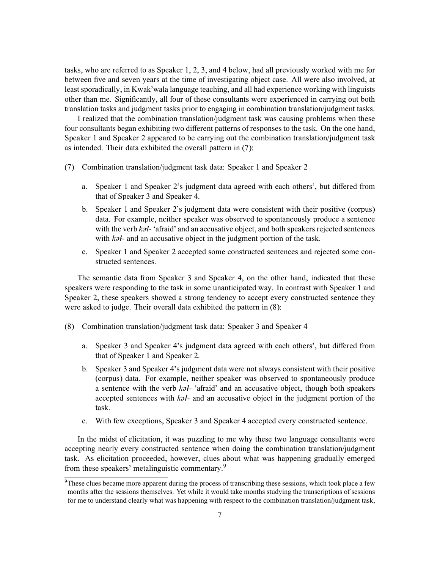tasks, who are referred to as Speaker 1, 2, 3, and 4 below, had all previously worked with me for between five and seven years at the time of investigating object case. All were also involved, at least sporadically, in Kwak'wala language teaching, and all had experience working with linguists other than me. Significantly, all four of these consultants were experienced in carrying out both translation tasks and judgment tasks prior to engaging in combination translation/judgment tasks.

I realized that the combination translation/judgment task was causing problems when these four consultants began exhibiting two different patterns of responses to the task. On the one hand, Speaker 1 and Speaker 2 appeared to be carrying out the combination translation/judgment task as intended. Their data exhibited the overall pattern in (7):

- (7) Combination translation/judgment task data: Speaker 1 and Speaker 2
	- a. Speaker 1 and Speaker 2's judgment data agreed with each others', but differed from that of Speaker 3 and Speaker 4.
	- b. Speaker 1 and Speaker 2's judgment data were consistent with their positive (corpus) data. For example, neither speaker was observed to spontaneously produce a sentence with the verb *kəɬ-* 'afraid' and an accusative object, and both speakers rejected sentences with  $k\partial t$ - and an accusative object in the judgment portion of the task.
	- c. Speaker 1 and Speaker 2 accepted some constructed sentences and rejected some constructed sentences.

The semantic data from Speaker 3 and Speaker 4, on the other hand, indicated that these speakers were responding to the task in some unanticipated way. In contrast with Speaker 1 and Speaker 2, these speakers showed a strong tendency to accept every constructed sentence they were asked to judge. Their overall data exhibited the pattern in (8):

- (8) Combination translation/judgment task data: Speaker 3 and Speaker 4
	- a. Speaker 3 and Speaker 4's judgment data agreed with each others', but differed from that of Speaker 1 and Speaker 2.
	- b. Speaker 3 and Speaker 4's judgment data were not always consistent with their positive (corpus) data. For example, neither speaker was observed to spontaneously produce a sentence with the verb *kəɬ-* 'afraid' and an accusative object, though both speakers accepted sentences with *kəɬ-* and an accusative object in the judgment portion of the task.
	- c. With few exceptions, Speaker 3 and Speaker 4 accepted every constructed sentence.

In the midst of elicitation, it was puzzling to me why these two language consultants were accepting nearly every constructed sentence when doing the combination translation/judgment task. As elicitation proceeded, however, clues about what was happening gradually emerged from these speakers' metalinguistic commentary.9

<sup>&</sup>lt;sup>9</sup>These clues became more apparent during the process of transcribing these sessions, which took place a few months after the sessions themselves. Yet while it would take months studying the transcriptions of sessions for me to understand clearly what was happening with respect to the combination translation/judgment task,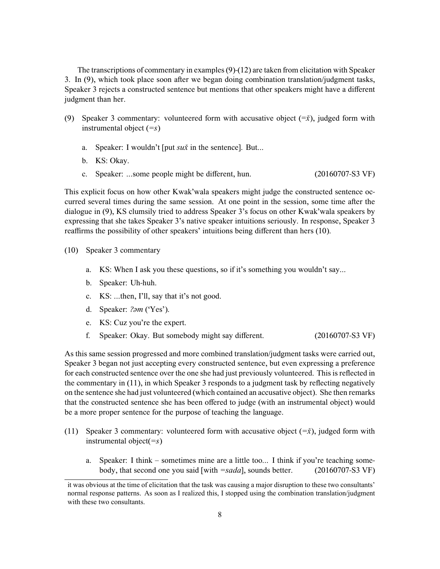The transcriptions of commentary in examples (9)-(12) are taken from elicitation with Speaker 3. In (9), which took place soon after we began doing combination translation/judgment tasks, Speaker 3 rejects a constructed sentence but mentions that other speakers might have a different judgment than her.

- (9) Speaker 3 commentary: volunteered form with accusative object (=*x̌*), judged form with instrumental object (*=s*)
	- a. Speaker: I wouldn't [put *sux̌* in the sentence]. But...
	- b. KS: Okay.
	- c. Speaker: ...some people might be different, hun. (20160707-S3 VF)

This explicit focus on how other Kwak'wala speakers might judge the constructed sentence occurred several times during the same session. At one point in the session, some time after the dialogue in (9), KS clumsily tried to address Speaker 3's focus on other Kwak'wala speakers by expressing that she takes Speaker 3's native speaker intuitions seriously. In response, Speaker 3 reaffirms the possibility of other speakers' intuitions being different than hers (10).

- (10) Speaker 3 commentary
	- a. KS: When I ask you these questions, so if it's something you wouldn't say...
	- b. Speaker: Uh-huh.
	- c. KS: ...then, I'll, say that it's not good.
	- d. Speaker: *ʔəm* ('Yes').
	- e. KS: Cuz you're the expert.
	- f. Speaker: Okay. But somebody might say different. (20160707-S3 VF)

As this same session progressed and more combined translation/judgment tasks were carried out, Speaker 3 began not just accepting every constructed sentence, but even expressing a preference for each constructed sentence over the one she had just previously volunteered. This is reflected in the commentary in (11), in which Speaker 3 responds to a judgment task by reflecting negatively on the sentence she had just volunteered (which contained an accusative object). She then remarks that the constructed sentence she has been offered to judge (with an instrumental object) would be a more proper sentence for the purpose of teaching the language.

- (11) Speaker 3 commentary: volunteered form with accusative object (*=x̌*), judged form with instrumental object(*=s*)
	- a. Speaker: I think sometimes mine are a little too... I think if you're teaching somebody, that second one you said [with *=sada*], sounds better. (20160707-S3 VF)

it was obvious at the time of elicitation that the task was causing a major disruption to these two consultants' normal response patterns. As soon as I realized this, I stopped using the combination translation/judgment with these two consultants.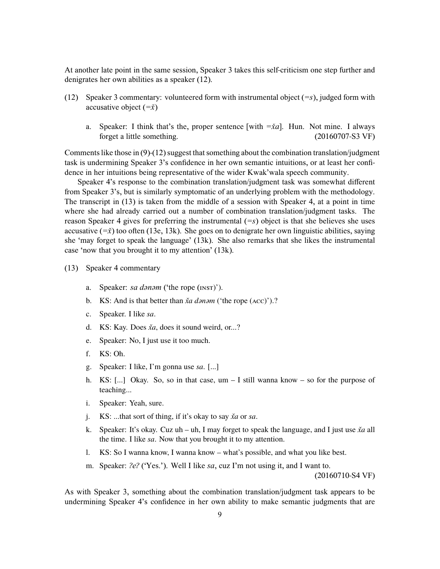At another late point in the same session, Speaker 3 takes this self-criticism one step further and denigrates her own abilities as a speaker (12).

- (12) Speaker 3 commentary: volunteered form with instrumental object (*=s*), judged form with accusative object (*=x̌*)
	- a. Speaker: I think that's the, proper sentence [with  $=\frac{xd}{}$ ]. Hun. Not mine. I always forget a little something. (20160707-S3 VF)

Comments like those in (9)-(12) suggest that something about the combination translation/judgment task is undermining Speaker 3's confidence in her own semantic intuitions, or at least her confidence in her intuitions being representative of the wider Kwak'wala speech community.

Speaker 4's response to the combination translation/judgment task was somewhat different from Speaker 3's, but is similarly symptomatic of an underlying problem with the methodology. The transcript in (13) is taken from the middle of a session with Speaker 4, at a point in time where she had already carried out a number of combination translation/judgment tasks. The reason Speaker 4 gives for preferring the instrumental (*=s*) object is that she believes she uses accusative  $(\overline{-x})$  too often (13e, 13k). She goes on to denigrate her own linguistic abilities, saying she 'may forget to speak the language' (13k). She also remarks that she likes the instrumental case 'now that you brought it to my attention' (13k).

- (13) Speaker 4 commentary
	- a. Speaker: *sa dənəm* ('the rope (INST)').
	- b. KS: And is that better than *x̄a dənəm* ('the rope (ACC)').?
	- c. Speaker. I like *sa*.
	- d. KS: Kay. Does *x̌a*, does it sound weird, or...?
	- e. Speaker: No, I just use it too much.
	- f. KS: Oh.
	- g. Speaker: I like, I'm gonna use *sa*. [...]
	- h. KS: [...] Okay. So, so in that case,  $um I$  still wanna know so for the purpose of teaching...
	- i. Speaker: Yeah, sure.
	- j. KS: ...that sort of thing, if it's okay to say *x̌a* or *sa*.
	- k. Speaker: It's okay. Cuz uh uh, I may forget to speak the language, and I just use *x̌a* all the time. I like *sa*. Now that you brought it to my attention.
	- l. KS: So I wanna know, I wanna know what's possible, and what you like best.
	- m. Speaker: *ʔeʔ* ('Yes.'). Well I like *sa*, cuz I'm not using it, and I want to.

(20160710-S4 VF)

As with Speaker 3, something about the combination translation/judgment task appears to be undermining Speaker 4's confidence in her own ability to make semantic judgments that are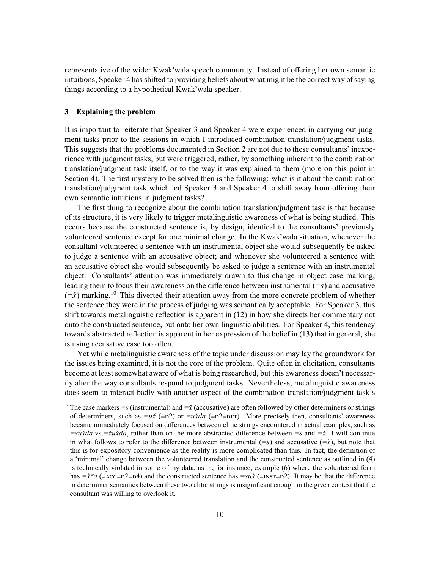representative of the wider Kwak'wala speech community. Instead of offering her own semantic intuitions, Speaker 4 has shifted to providing beliefs about what might be the correct way of saying things according to a hypothetical Kwak'wala speaker.

#### **3 Explaining the problem**

It is important to reiterate that Speaker 3 and Speaker 4 were experienced in carrying out judgment tasks prior to the sessions in which I introduced combination translation/judgment tasks. This suggests that the problems documented in Section 2 are not due to these consultants' inexperience with judgment tasks, but were triggered, rather, by something inherent to the combination translation/judgment task itself, or to the way it was explained to them (more on this point in Section 4). The first mystery to be solved then is the following: what is it about the combination translation/judgment task which led Speaker 3 and Speaker 4 to shift away from offering their own semantic intuitions in judgment tasks?

The first thing to recognize about the combination translation/judgment task is that because of its structure, it is very likely to trigger metalinguistic awareness of what is being studied. This occurs because the constructed sentence is, by design, identical to the consultants' previously volunteered sentence except for one minimal change. In the Kwak'wala situation, whenever the consultant volunteered a sentence with an instrumental object she would subsequently be asked to judge a sentence with an accusative object; and whenever she volunteered a sentence with an accusative object she would subsequently be asked to judge a sentence with an instrumental object. Consultants' attention was immediately drawn to this change in object case marking, leading them to focus their awareness on the difference between instrumental (*=s*) and accusative  $(=\dot{x})$  marking.<sup>10</sup> This diverted their attention away from the more concrete problem of whether the sentence they were in the process of judging was semantically acceptable. For Speaker 3, this shift towards metalinguistic reflection is apparent in (12) in how she directs her commentary not onto the constructed sentence, but onto her own linguistic abilities. For Speaker 4, this tendency towards abstracted reflection is apparent in her expression of the belief in (13) that in general, she is using accusative case too often.

Yet while metalinguistic awareness of the topic under discussion may lay the groundwork for the issues being examined, it is not the core of the problem. Quite often in elicitation, consultants become at least somewhat aware of what is being researched, but this awareness doesn't necessarily alter the way consultants respond to judgment tasks. Nevertheless, metalinguistic awareness does seem to interact badly with another aspect of the combination translation/judgment task's

<sup>&</sup>lt;sup>10</sup>The case markers  $=s$  (instrumental) and  $=\dot{x}$  (accusative) are often followed by other determiners or strings of determiners, such as  $=u\dot{x}$  (=D2) or  $=u\dot{x}da$  (=D2=DET). More precisely then, consultants' awareness became immediately focused on differences between clitic strings encountered in actual examples, such as *=sux̌da* vs.*=x̌ux̌da*, rather than on the more abstracted difference between *=s* and *=x̌*. I will continue in what follows to refer to the difference between instrumental  $(=s)$  and accusative  $(=\dot{x})$ , but note that this is for expository convenience as the reality is more complicated than this. In fact, the definition of a 'minimal' change between the volunteered translation and the constructed sentence as outlined in (4) is technically violated in some of my data, as in, for instance, example (6) where the volunteered form has  $=\dot{x}^w a$  (=ACC=D2=D4) and the constructed sentence has  $=su\dot{x}$  (=INST=D2). It may be that the difference in determiner semantics between these two clitic strings is insignificant enough in the given context that the consultant was willing to overlook it.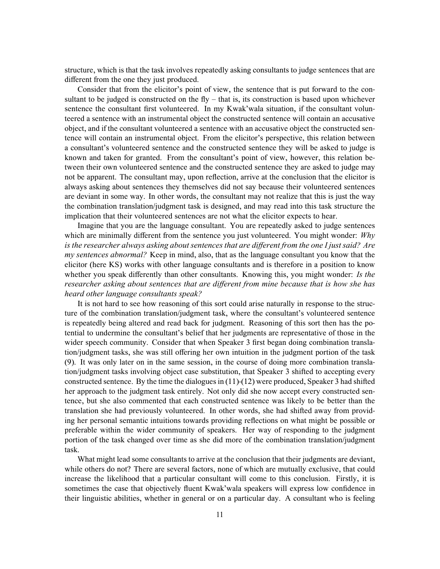structure, which is that the task involves repeatedly asking consultants to judge sentences that are different from the one they just produced.

Consider that from the elicitor's point of view, the sentence that is put forward to the consultant to be judged is constructed on the fly – that is, its construction is based upon whichever sentence the consultant first volunteered. In my Kwak'wala situation, if the consultant volunteered a sentence with an instrumental object the constructed sentence will contain an accusative object, and if the consultant volunteered a sentence with an accusative object the constructed sentence will contain an instrumental object. From the elicitor's perspective, this relation between a consultant's volunteered sentence and the constructed sentence they will be asked to judge is known and taken for granted. From the consultant's point of view, however, this relation between their own volunteered sentence and the constructed sentence they are asked to judge may not be apparent. The consultant may, upon reflection, arrive at the conclusion that the elicitor is always asking about sentences they themselves did not say because their volunteered sentences are deviant in some way. In other words, the consultant may not realize that this is just the way the combination translation/judgment task is designed, and may read into this task structure the implication that their volunteered sentences are not what the elicitor expects to hear.

Imagine that you are the language consultant. You are repeatedly asked to judge sentences which are minimally different from the sentence you just volunteered. You might wonder: *Why is the researcher always asking about sentences that are different from the one I just said? Are my sentences abnormal?* Keep in mind, also, that as the language consultant you know that the elicitor (here KS) works with other language consultants and is therefore in a position to know whether you speak differently than other consultants. Knowing this, you might wonder: *Is the researcher asking about sentences that are different from mine because that is how she has heard other language consultants speak?*

It is not hard to see how reasoning of this sort could arise naturally in response to the structure of the combination translation/judgment task, where the consultant's volunteered sentence is repeatedly being altered and read back for judgment. Reasoning of this sort then has the potential to undermine the consultant's belief that her judgments are representative of those in the wider speech community. Consider that when Speaker 3 first began doing combination translation/judgment tasks, she was still offering her own intuition in the judgment portion of the task (9). It was only later on in the same session, in the course of doing more combination translation/judgment tasks involving object case substitution, that Speaker 3 shifted to accepting every constructed sentence. By the time the dialogues in (11)-(12) were produced, Speaker 3 had shifted her approach to the judgment task entirely. Not only did she now accept every constructed sentence, but she also commented that each constructed sentence was likely to be better than the translation she had previously volunteered. In other words, she had shifted away from providing her personal semantic intuitions towards providing reflections on what might be possible or preferable within the wider community of speakers. Her way of responding to the judgment portion of the task changed over time as she did more of the combination translation/judgment task.

What might lead some consultants to arrive at the conclusion that their judgments are deviant, while others do not? There are several factors, none of which are mutually exclusive, that could increase the likelihood that a particular consultant will come to this conclusion. Firstly, it is sometimes the case that objectively fluent Kwak'wala speakers will express low confidence in their linguistic abilities, whether in general or on a particular day. A consultant who is feeling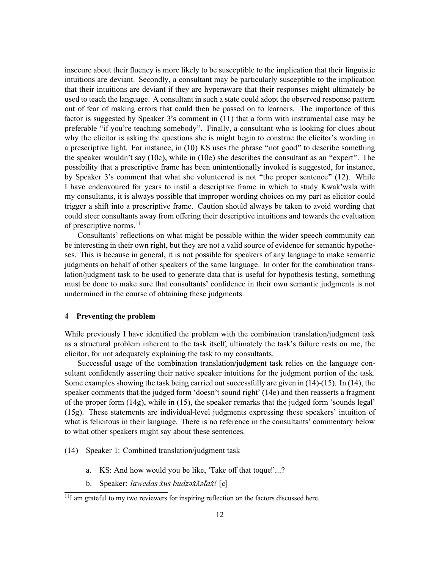insecure about their fluency is more likely to be susceptible to the implication that their linguistic intuitions are deviant. Secondly, a consultant may be particularly susceptible to the implication that their intuitions are deviant if they are hyperaware that their responses might ultimately be used to teach the language. A consultant in such a state could adopt the observed response pattern out of fear of making errors that could then be passed on to learners. The importance of this factor is suggested by Speaker 3's comment in (11) that a form with instrumental case may be preferable "if you're teaching somebody". Finally, a consultant who is looking for clues about why the elicitor is asking the questions she is might begin to construe the elicitor's wording in a prescriptive light. For instance, in (10) KS uses the phrase "not good" to describe something the speaker wouldn't say (10c), while in (10e) she describes the consultant as an "expert". The possibility that a prescriptive frame has been unintentionally invoked is suggested, for instance, by Speaker 3's comment that what she volunteered is not "the proper sentence" (12). While I have endeavoured for years to instil a descriptive frame in which to study Kwak'wala with my consultants, it is always possible that improper wording choices on my part as elicitor could trigger a shift into a prescriptive frame. Caution should always be taken to avoid wording that could steer consultants away from offering their descriptive intuitions and towards the evaluation of prescriptive norms.<sup>11</sup>

Consultants' reflections on what might be possible within the wider speech community can be interesting in their own right, but they are not a valid source of evidence for semantic hypotheses. This is because in general, it is not possible for speakers of any language to make semantic judgments on behalf of other speakers of the same language. In order for the combination translation/judgment task to be used to generate data that is useful for hypothesis testing, something must be done to make sure that consultants' confidence in their own semantic judgments is not undermined in the course of obtaining these judgments.

#### **4 Preventing the problem**

While previously I have identified the problem with the combination translation/judgment task as a structural problem inherent to the task itself, ultimately the task's failure rests on me, the elicitor, for not adequately explaining the task to my consultants.

Successful usage of the combination translation/judgment task relies on the language consultant confidently asserting their native speaker intuitions for the judgment portion of the task. Some examples showing the task being carried out successfully are given in (14)-(15). In (14), the speaker comments that the judged form 'doesn't sound right' (14e) and then reasserts a fragment of the proper form (14g), while in (15), the speaker remarks that the judged form 'sounds legal' (15g). These statements are individual-level judgments expressing these speakers' intuition of what is felicitous in their language. There is no reference in the consultants' commentary below to what other speakers might say about these sentences.

- (14) Speaker 1: Combined translation/judgment task
	- a. KS: And how would you be like, 'Take off that toque!'...?
	- b. Speaker: *lawedas xus budzəxॅ* $\lambda$ *əlax̌!* [c]

<sup>&</sup>lt;sup>11</sup>I am grateful to my two reviewers for inspiring reflection on the factors discussed here.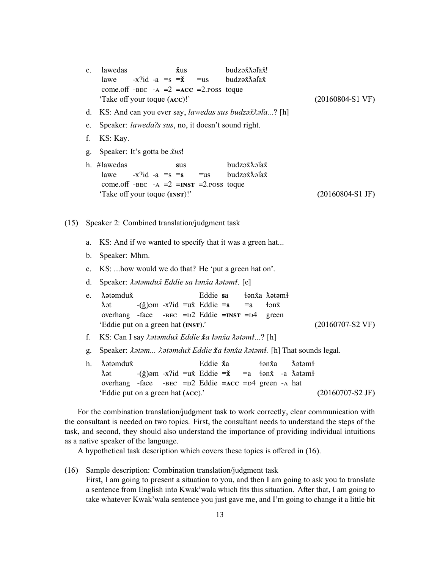|      | $\mathbf{c}$ . | lawedas<br>$\check{x}$ us<br>budzaž<br>Xalaž!<br>$-x$ ?id -a =s = $\check{\mathbf{x}}$<br>budzaž<br>Xalaž<br>lawe<br>$=$ us<br>come.off -BEC -A = $2$ =ACC = 2.poss toque<br>'Take off your toque (ACC)!'<br>$(20160804-S1 \text{ VF})$                                                                                             |
|------|----------------|-------------------------------------------------------------------------------------------------------------------------------------------------------------------------------------------------------------------------------------------------------------------------------------------------------------------------------------|
|      | d.             | KS: And can you ever say, <i>lawedas sus budza</i> xtala? [h]                                                                                                                                                                                                                                                                       |
|      | e.             | Speaker: laweda?s sus, no, it doesn't sound right.                                                                                                                                                                                                                                                                                  |
|      | f.             | KS: Kay.                                                                                                                                                                                                                                                                                                                            |
|      | g.             | Speaker: It's gotta be <i>xus!</i>                                                                                                                                                                                                                                                                                                  |
|      |                | h. #lawedas<br>budzaž<br>Xaľaž<br>sus<br>$-x$ ?id -a =s =s<br>budzə x həlax<br>lawe<br>$=$ us<br>come.off -BEC -A = $2$ =INST = 2.poss toque<br>'Take off your toque (INST)!'<br>$(20160804-S1$ JF)                                                                                                                                 |
| (15) |                | Speaker 2: Combined translation/judgment task                                                                                                                                                                                                                                                                                       |
|      | a.             | KS: And if we wanted to specify that it was a green hat                                                                                                                                                                                                                                                                             |
|      | $\mathbf{b}$ . | Speaker: Mhm.                                                                                                                                                                                                                                                                                                                       |
|      | $\mathbf{c}$ . | KS:  how would we do that? He 'put a green hat on'.                                                                                                                                                                                                                                                                                 |
|      | d.             | Speaker: $\lambda$ atamduž Eddie sa łanža $\lambda$ atamł. [e]                                                                                                                                                                                                                                                                      |
|      | e.             | <b><i><u>A</u></i></b> otomduž<br>łənxa <i>A</i> ətəmł<br>Eddie sa<br>$-(\check{g})$ əm -x?id =u $\check{x}$ Eddie =s<br>tan x<br>λət<br>$=a$<br>overhang -face - $BEC = D2$ Eddie = $INST = D4$<br>green<br>'Eddie put on a green hat (INST).'<br>$(20160707-S2 \,\mathrm{VF})$                                                    |
|      | f.             | KS: Can I say $\lambda$ <i>atamdux̆ Eddie <b>x</b>̃a tanx̃a <math>\lambda</math>atamt</i> ? [h]                                                                                                                                                                                                                                     |
|      | g.             | Speaker: $\lambda$ ətəm $\lambda$ ətəmdux Eddie xa tənxa $\lambda$ ətəmt. [h] That sounds legal.                                                                                                                                                                                                                                    |
|      | h.             | <b>X</b> ətəmdux<br>Eddie <b>x</b> a<br>tan xa<br><b>A</b> at a m<br>$-(\check{g})$ əm -x?id =u $\check{x}$ Eddie = $\check{x}$ = a $\check{f}$ ən $\check{x}$ -a $\check{h}$ ətəm $\check{f}$<br>λət<br>overhang -face<br>-BEC = $D2$ Eddie = $ACC$ = $D4$ green -A hat<br>'Eddie put on a green hat (ACC).'<br>$(20160707-S2$ JF) |

For the combination translation/judgment task to work correctly, clear communication with the consultant is needed on two topics. First, the consultant needs to understand the steps of the task, and second, they should also understand the importance of providing individual intuitions as a native speaker of the language.

A hypothetical task description which covers these topics is offered in (16).

(16) Sample description: Combination translation/judgment task First, I am going to present a situation to you, and then I am going to ask you to translate a sentence from English into Kwak'wala which fits this situation. After that, I am going to take whatever Kwak'wala sentence you just gave me, and I'm going to change it a little bit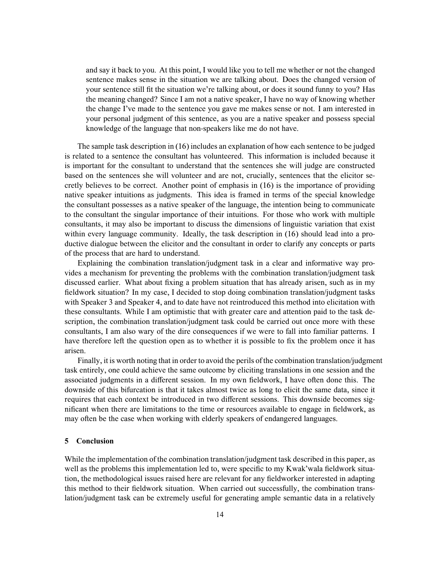and say it back to you. At this point, I would like you to tell me whether or not the changed sentence makes sense in the situation we are talking about. Does the changed version of your sentence still fit the situation we're talking about, or does it sound funny to you? Has the meaning changed? Since I am not a native speaker, I have no way of knowing whether the change I've made to the sentence you gave me makes sense or not. I am interested in your personal judgment of this sentence, as you are a native speaker and possess special knowledge of the language that non-speakers like me do not have.

The sample task description in (16) includes an explanation of how each sentence to be judged is related to a sentence the consultant has volunteered. This information is included because it is important for the consultant to understand that the sentences she will judge are constructed based on the sentences she will volunteer and are not, crucially, sentences that the elicitor secretly believes to be correct. Another point of emphasis in (16) is the importance of providing native speaker intuitions as judgments. This idea is framed in terms of the special knowledge the consultant possesses as a native speaker of the language, the intention being to communicate to the consultant the singular importance of their intuitions. For those who work with multiple consultants, it may also be important to discuss the dimensions of linguistic variation that exist within every language community. Ideally, the task description in (16) should lead into a productive dialogue between the elicitor and the consultant in order to clarify any concepts or parts of the process that are hard to understand.

Explaining the combination translation/judgment task in a clear and informative way provides a mechanism for preventing the problems with the combination translation/judgment task discussed earlier. What about fixing a problem situation that has already arisen, such as in my fieldwork situation? In my case, I decided to stop doing combination translation/judgment tasks with Speaker 3 and Speaker 4, and to date have not reintroduced this method into elicitation with these consultants. While I am optimistic that with greater care and attention paid to the task description, the combination translation/judgment task could be carried out once more with these consultants, I am also wary of the dire consequences if we were to fall into familiar patterns. I have therefore left the question open as to whether it is possible to fix the problem once it has arisen.

Finally, it is worth noting that in order to avoid the perils of the combination translation/judgment task entirely, one could achieve the same outcome by eliciting translations in one session and the associated judgments in a different session. In my own fieldwork, I have often done this. The downside of this bifurcation is that it takes almost twice as long to elicit the same data, since it requires that each context be introduced in two different sessions. This downside becomes significant when there are limitations to the time or resources available to engage in fieldwork, as may often be the case when working with elderly speakers of endangered languages.

#### **5 Conclusion**

While the implementation of the combination translation/judgment task described in this paper, as well as the problems this implementation led to, were specific to my Kwak'wala fieldwork situation, the methodological issues raised here are relevant for any fieldworker interested in adapting this method to their fieldwork situation. When carried out successfully, the combination translation/judgment task can be extremely useful for generating ample semantic data in a relatively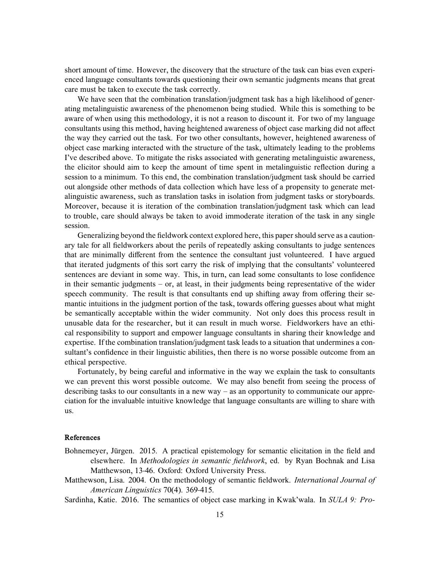short amount of time. However, the discovery that the structure of the task can bias even experienced language consultants towards questioning their own semantic judgments means that great care must be taken to execute the task correctly.

We have seen that the combination translation/judgment task has a high likelihood of generating metalinguistic awareness of the phenomenon being studied. While this is something to be aware of when using this methodology, it is not a reason to discount it. For two of my language consultants using this method, having heightened awareness of object case marking did not affect the way they carried out the task. For two other consultants, however, heightened awareness of object case marking interacted with the structure of the task, ultimately leading to the problems I've described above. To mitigate the risks associated with generating metalinguistic awareness, the elicitor should aim to keep the amount of time spent in metalinguistic reflection during a session to a minimum. To this end, the combination translation/judgment task should be carried out alongside other methods of data collection which have less of a propensity to generate metalinguistic awareness, such as translation tasks in isolation from judgment tasks or storyboards. Moreover, because it is iteration of the combination translation/judgment task which can lead to trouble, care should always be taken to avoid immoderate iteration of the task in any single session.

Generalizing beyond the fieldwork context explored here, this paper should serve as a cautionary tale for all fieldworkers about the perils of repeatedly asking consultants to judge sentences that are minimally different from the sentence the consultant just volunteered. I have argued that iterated judgments of this sort carry the risk of implying that the consultants' volunteered sentences are deviant in some way. This, in turn, can lead some consultants to lose confidence in their semantic judgments – or, at least, in their judgments being representative of the wider speech community. The result is that consultants end up shifting away from offering their semantic intuitions in the judgment portion of the task, towards offering guesses about what might be semantically acceptable within the wider community. Not only does this process result in unusable data for the researcher, but it can result in much worse. Fieldworkers have an ethical responsibility to support and empower language consultants in sharing their knowledge and expertise. If the combination translation/judgment task leads to a situation that undermines a consultant's confidence in their linguistic abilities, then there is no worse possible outcome from an ethical perspective.

Fortunately, by being careful and informative in the way we explain the task to consultants we can prevent this worst possible outcome. We may also benefit from seeing the process of describing tasks to our consultants in a new way – as an opportunity to communicate our appreciation for the invaluable intuitive knowledge that language consultants are willing to share with us.

## **References**

- Bohnemeyer, Jürgen. 2015. A practical epistemology for semantic elicitation in the field and elsewhere. In *Methodologies in semantic fieldwork*, ed. by Ryan Bochnak and Lisa Matthewson, 13-46. Oxford: Oxford University Press.
- Matthewson, Lisa. 2004. On the methodology of semantic fieldwork. *International Journal of American Linguistics* 70(4). 369-415.

Sardinha, Katie. 2016. The semantics of object case marking in Kwak'wala. In *SULA 9: Pro-*